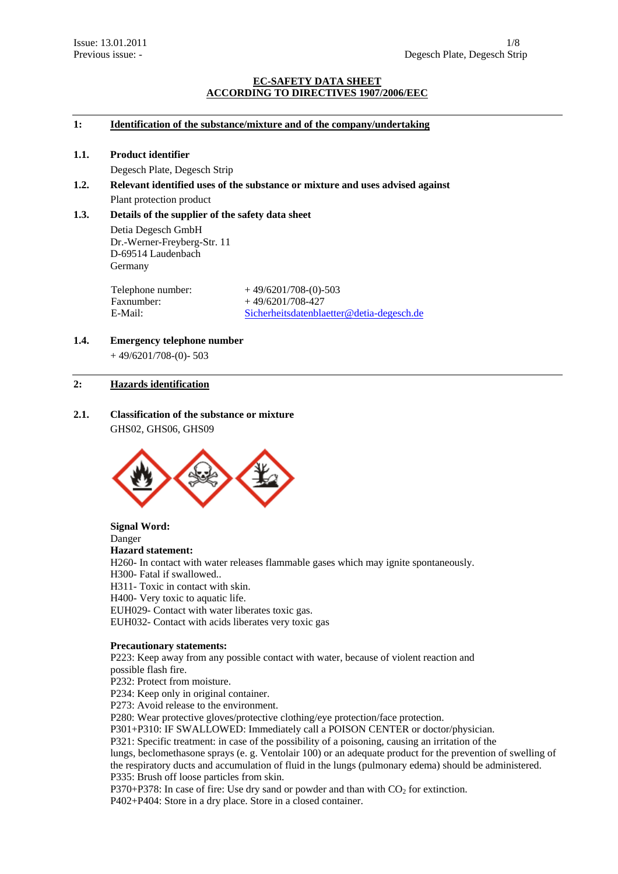## **EC-SAFETY DATA SHEET ACCORDING TO DIRECTIVES 1907/2006/EEC**

## **1: Identification of the substance/mixture and of the company/undertaking**

#### **1.1. Product identifier**

Degesch Plate, Degesch Strip

**1.2. Relevant identified uses of the substance or mixture and uses advised against**  Plant protection product

## **1.3. Details of the supplier of the safety data sheet**

 Detia Degesch GmbH Dr.-Werner-Freyberg-Str. 11 D-69514 Laudenbach Germany

Faxnumber: + 49/6201/708-427<br>E-Mail: Sicherheitsdatenbla

Telephone number:  $+49/6201/708-(0)-503$ Sicherheitsdatenblaetter@detia-degesch.de

# **1.4. Emergency telephone number**

 $+49/6201/708-(0) - 503$ 

## **2: Hazards identification**

**2.1. Classification of the substance or mixture**  GHS02, GHS06, GHS09



#### **Signal Word:**  Danger

# **Hazard statement:**

H260- In contact with water releases flammable gases which may ignite spontaneously.

H300- Fatal if swallowed..

H311- Toxic in contact with skin.

H400- Very toxic to aquatic life.

EUH029- Contact with water liberates toxic gas.

EUH032- Contact with acids liberates very toxic gas

## **Precautionary statements:**

P223: Keep away from any possible contact with water, because of violent reaction and possible flash fire.

P232: Protect from moisture.

P234: Keep only in original container.

P273: Avoid release to the environment.

P280: Wear protective gloves/protective clothing/eye protection/face protection.

P301+P310: IF SWALLOWED: Immediately call a POISON CENTER or doctor/physician.

P321: Specific treatment: in case of the possibility of a poisoning, causing an irritation of the

lungs, beclomethasone sprays (e. g. Ventolair 100) or an adequate product for the prevention of swelling of the respiratory ducts and accumulation of fluid in the lungs (pulmonary edema) should be administered. P335: Brush off loose particles from skin.

P370+P378: In case of fire: Use dry sand or powder and than with  $CO<sub>2</sub>$  for extinction.

P402+P404: Store in a dry place. Store in a closed container.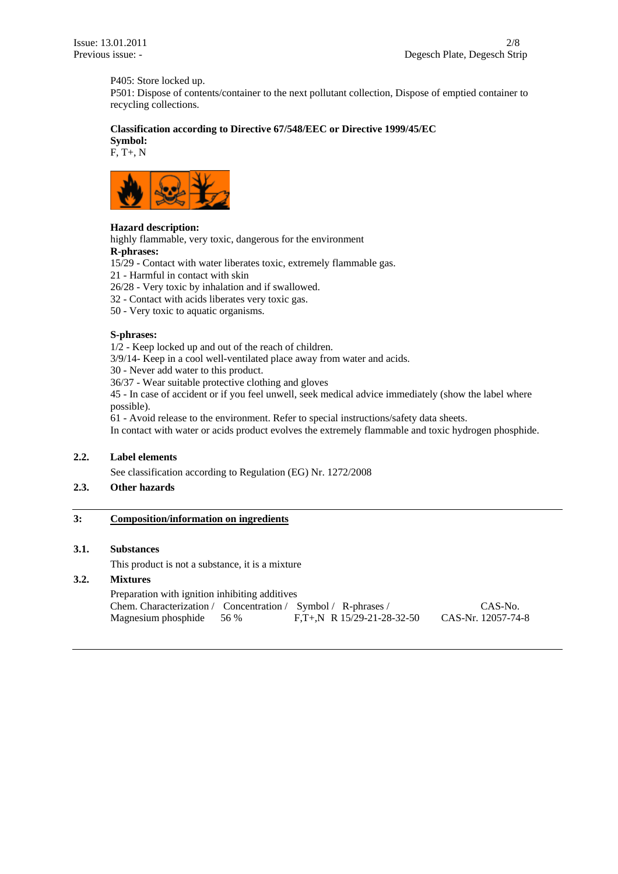P405: Store locked up.

P501: Dispose of contents/container to the next pollutant collection, Dispose of emptied container to recycling collections.

# **Classification according to Directive 67/548/EEC or Directive 1999/45/EC**

**Symbol:**  F, T+, N



## **Hazard description:**

highly flammable, very toxic, dangerous for the environment

**R-phrases:** 

15/29 - Contact with water liberates toxic, extremely flammable gas.

21 - Harmful in contact with skin

26/28 - Very toxic by inhalation and if swallowed.

32 - Contact with acids liberates very toxic gas.

50 - Very toxic to aquatic organisms.

## **S-phrases:**

1/2 - Keep locked up and out of the reach of children.

3/9/14- Keep in a cool well-ventilated place away from water and acids.

30 - Never add water to this product.

36/37 - Wear suitable protective clothing and gloves

45 - In case of accident or if you feel unwell, seek medical advice immediately (show the label where possible).

61 - Avoid release to the environment. Refer to special instructions/safety data sheets.

In contact with water or acids product evolves the extremely flammable and toxic hydrogen phosphide.

## **2.2. Label elements**

See classification according to Regulation (EG) Nr. 1272/2008

# **2.3. Other hazards**

## **3: Composition/information on ingredients**

# **3.1. Substances**

This product is not a substance, it is a mixture

## **3.2. Mixtures**

| Preparation with ignition inhibiting additives                |                               |                    |
|---------------------------------------------------------------|-------------------------------|--------------------|
| Chem. Characterization / Concentration / Symbol / R-phrases / |                               | CAS-No.            |
| Magnesium phosphide 56 %                                      | $F_{T+}N$ R 15/29-21-28-32-50 | CAS-Nr. 12057-74-8 |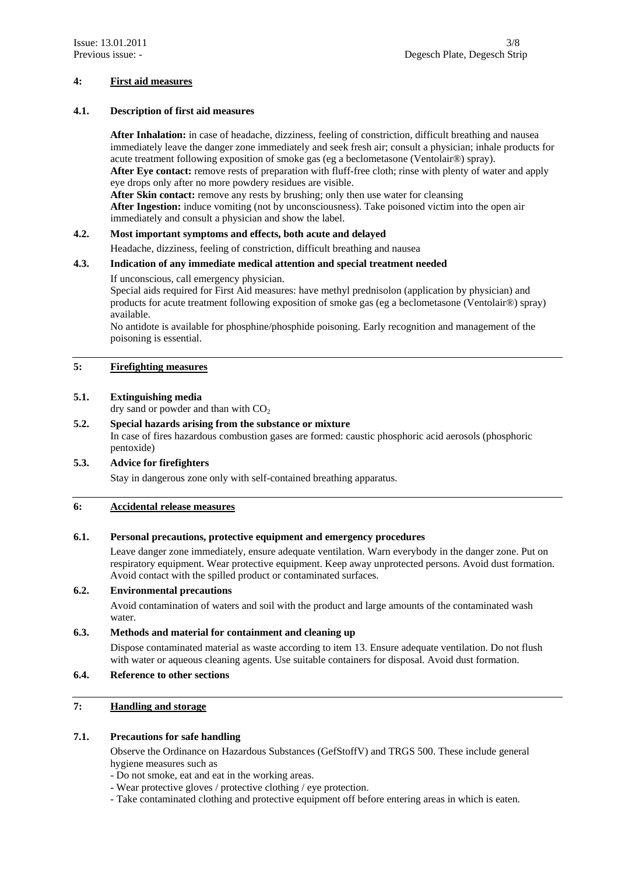## **4: First aid measures**

## **4.1. Description of first aid measures**

**After Inhalation:** in case of headache, dizziness, feeling of constriction, difficult breathing and nausea immediately leave the danger zone immediately and seek fresh air; consult a physician; inhale products for acute treatment following exposition of smoke gas (eg a beclometasone (Ventolair®) spray). **After Eye contact:** remove rests of preparation with fluff-free cloth; rinse with plenty of water and apply eye drops only after no more powdery residues are visible.

**After Skin contact:** remove any rests by brushing; only then use water for cleansing  **After Ingestion:** induce vomiting (not by unconsciousness). Take poisoned victim into the open air immediately and consult a physician and show the label.

## **4.2. Most important symptoms and effects, both acute and delayed**

Headache, dizziness, feeling of constriction, difficult breathing and nausea

## **4.3. Indication of any immediate medical attention and special treatment needed**

## If unconscious, call emergency physician.

Special aids required for First Aid measures: have methyl prednisolon (application by physician) and products for acute treatment following exposition of smoke gas (eg a beclometasone (Ventolair®) spray) available.

 No antidote is available for phosphine/phosphide poisoning. Early recognition and management of the poisoning is essential.

# **5: Firefighting measures**

## **5.1. Extinguishing media**

dry sand or powder and than with  $CO<sub>2</sub>$ 

## **5.2. Special hazards arising from the substance or mixture**  In case of fires hazardous combustion gases are formed: caustic phosphoric acid aerosols (phosphoric pentoxide)

# **5.3. Advice for firefighters**

Stay in dangerous zone only with self-contained breathing apparatus.

## **6: Accidental release measures**

# **6.1. Personal precautions, protective equipment and emergency procedures**

Leave danger zone immediately, ensure adequate ventilation. Warn everybody in the danger zone. Put on respiratory equipment. Wear protective equipment. Keep away unprotected persons. Avoid dust formation. Avoid contact with the spilled product or contaminated surfaces.

# **6.2. Environmental precautions**

 Avoid contamination of waters and soil with the product and large amounts of the contaminated wash water.

# **6.3. Methods and material for containment and cleaning up**

 Dispose contaminated material as waste according to item 13. Ensure adequate ventilation. Do not flush with water or aqueous cleaning agents. Use suitable containers for disposal. Avoid dust formation.

# **6.4. Reference to other sections**

# **7: Handling and storage**

## **7.1. Precautions for safe handling**

 Observe the Ordinance on Hazardous Substances (GefStoffV) and TRGS 500. These include general hygiene measures such as

- Do not smoke, eat and eat in the working areas.
- Wear protective gloves / protective clothing / eye protection.
- Take contaminated clothing and protective equipment off before entering areas in which is eaten.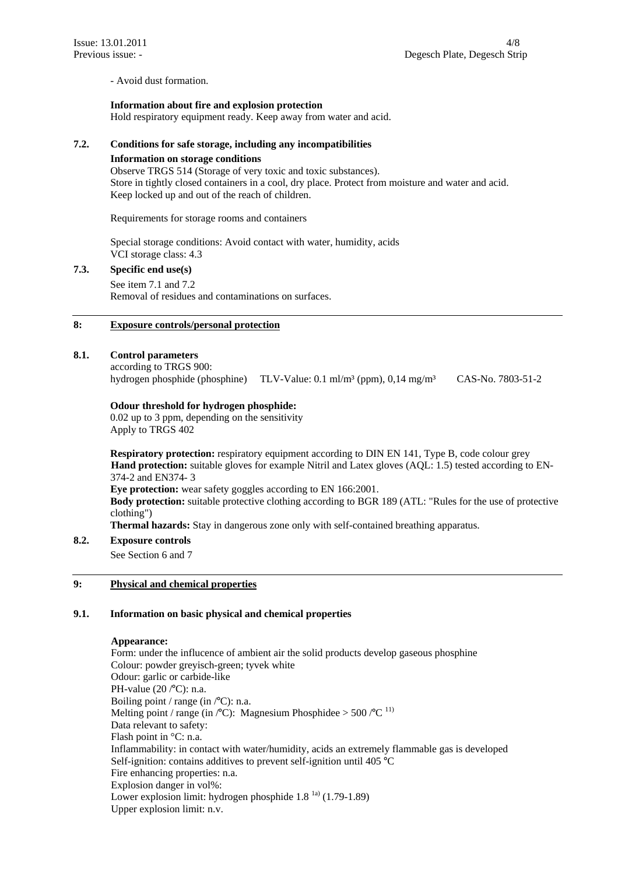- Avoid dust formation.

#### **Information about fire and explosion protection**

Hold respiratory equipment ready. Keep away from water and acid.

## **7.2. Conditions for safe storage, including any incompatibilities**

#### **Information on storage conditions**

Observe TRGS 514 (Storage of very toxic and toxic substances). Store in tightly closed containers in a cool, dry place. Protect from moisture and water and acid. Keep locked up and out of the reach of children.

Requirements for storage rooms and containers

Special storage conditions: Avoid contact with water, humidity, acids VCI storage class: 4.3

## **7.3. Specific end use(s)**

See item 7.1 and 7.2 Removal of residues and contaminations on surfaces.

# **8: Exposure controls/personal protection**

#### **8.1. Control parameters**

according to TRGS 900: hydrogen phosphide (phosphine) TLV-Value: 0.1 ml/m³ (ppm), 0,14 mg/m³ CAS-No. 7803-51-2

## **Odour threshold for hydrogen phosphide:**

0.02 up to 3 ppm, depending on the sensitivity Apply to TRGS 402

**Respiratory protection:** respiratory equipment according to DIN EN 141, Type B, code colour grey **Hand protection:** suitable gloves for example Nitril and Latex gloves (AQL: 1.5) tested according to EN-374-2 and EN374- 3

**Eye protection:** wear safety goggles according to EN 166:2001.

**Body protection:** suitable protective clothing according to BGR 189 (ATL: "Rules for the use of protective clothing")

**Thermal hazards:** Stay in dangerous zone only with self-contained breathing apparatus.

# **8.2. Exposure controls**

See Section 6 and 7

## **9: Physical and chemical properties**

#### **9.1. Information on basic physical and chemical properties**

#### **Appearance:**

Form: under the influcence of ambient air the solid products develop gaseous phosphine Colour: powder greyisch-green; tyvek white Odour: garlic or carbide-like PH-value (20 /°C): n.a. Boiling point / range (in /°C): n.a. Melting point / range (in  $\textdegree$ C): Magnesium Phosphidee > 500  $\textdegree$ C<sup>11)</sup> Data relevant to safety: Flash point in °C: n.a. Inflammability: in contact with water/humidity, acids an extremely flammable gas is developed Self-ignition: contains additives to prevent self-ignition until 405 °C Fire enhancing properties: n.a. Explosion danger in vol%: Lower explosion limit: hydrogen phosphide  $1.8<sup>1a</sup>$  (1.79-1.89) Upper explosion limit: n.v.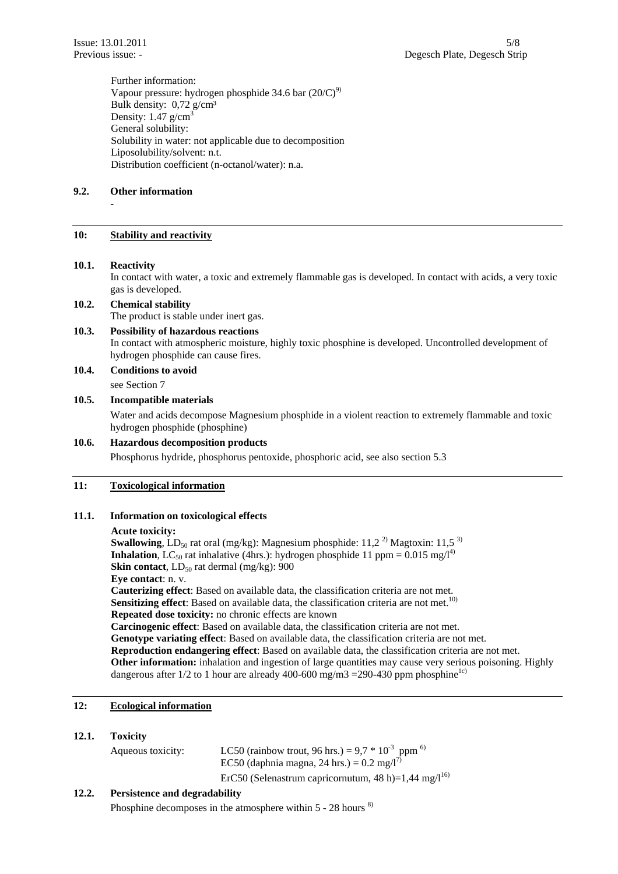Further information: Vapour pressure: hydrogen phosphide 34.6 bar  $(20/C)^9$ Bulk density:  $0,72$  g/cm<sup>3</sup> Density:  $1.47$  g/cm<sup>3</sup> General solubility: Solubility in water: not applicable due to decomposition Liposolubility/solvent: n.t. Distribution coefficient (n-octanol/water): n.a.

## **9.2. Other information**

**10: Stability and reactivity** 

# **10.1. Reactivity**

 **-** 

In contact with water, a toxic and extremely flammable gas is developed. In contact with acids, a very toxic gas is developed.

## **10.2. Chemical stability**

The product is stable under inert gas.

## **10.3. Possibility of hazardous reactions**

In contact with atmospheric moisture, highly toxic phosphine is developed. Uncontrolled development of hydrogen phosphide can cause fires.

**10.4. Conditions to avoid** 

see Section 7

## **10.5. Incompatible materials**

 Water and acids decompose Magnesium phosphide in a violent reaction to extremely flammable and toxic hydrogen phosphide (phosphine)

## **10.6. Hazardous decomposition products**

Phosphorus hydride, phosphorus pentoxide, phosphoric acid, see also section 5.3

## **11: Toxicological information**

## **11.1. Information on toxicological effects**

#### **Acute toxicity:**

**Swallowing**,  $LD_{50}$  rat oral (mg/kg): Magnesium phosphide:  $11,2^{2}$  Magtoxin:  $11,5^{3}$ **Inhalation**, LC<sub>50</sub> rat inhalative (4hrs.): hydrogen phosphide 11 ppm =  $0.015$  mg/l<sup>4)</sup> **Skin contact**,  $LD_{50}$  rat dermal (mg/kg):  $900$ **Eye contact**: n. v. **Cauterizing effect**: Based on available data, the classification criteria are not met. **Sensitizing effect**: Based on available data, the classification criteria are not met.<sup>10)</sup> **Repeated dose toxicity:** no chronic effects are known **Carcinogenic effect**: Based on available data, the classification criteria are not met. **Genotype variating effect**: Based on available data, the classification criteria are not met. **Reproduction endangering effect**: Based on available data, the classification criteria are not met. **Other information:** inhalation and ingestion of large quantities may cause very serious poisoning. Highly dangerous after  $1/2$  to 1 hour are already 400-600 mg/m3 = 290-430 ppm phosphine<sup>1c)</sup>

## **12: Ecological information**

## **12.1. Toxicity**

| Aqueous toxicity: | LC50 (rainbow trout, 96 hrs.) = $9.7 * 10^{-3}$ ppm <sup>6)</sup><br>EC50 (daphnia magna, 24 hrs.) = $0.2 \text{ mg}/1^{7}$ |  |
|-------------------|-----------------------------------------------------------------------------------------------------------------------------|--|
|                   | ErC50 (Selenastrum capricornutum, 48 h)=1,44 mg/ $1^{16}$                                                                   |  |

## **12.2. Persistence and degradability**

Phosphine decomposes in the atmosphere within  $5 - 28$  hours  $8$ )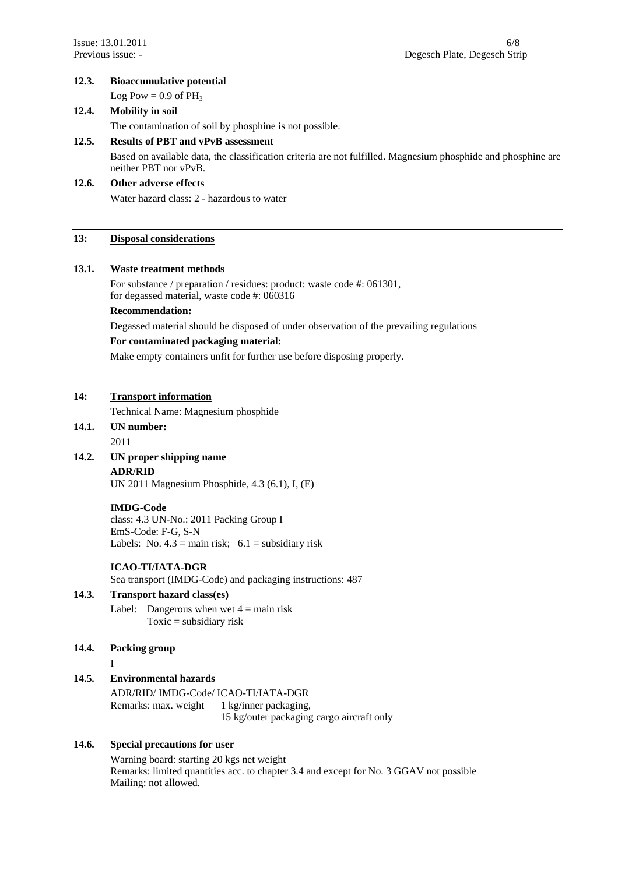## **12.3. Bioaccumulative potential**

Log Pow =  $0.9$  of PH<sub>3</sub>

## **12.4. Mobility in soil**

The contamination of soil by phosphine is not possible.

#### **12.5. Results of PBT and vPvB assessment**

Based on available data, the classification criteria are not fulfilled. Magnesium phosphide and phosphine are neither PBT nor vPvB.

# **12.6. Other adverse effects**  Water hazard class: 2 - hazardous to water

# **13: Disposal considerations**

## **13.1. Waste treatment methods**

For substance / preparation / residues: product: waste code #: 061301, for degassed material, waste code #: 060316

#### **Recommendation:**

Degassed material should be disposed of under observation of the prevailing regulations

#### **For contaminated packaging material:**

Make empty containers unfit for further use before disposing properly.

## **14: Transport information**

Technical Name: Magnesium phosphide

# **14.1. UN number:**

2011

# **14.2. UN proper shipping name**

## **ADR/RID**

UN 2011 Magnesium Phosphide, 4.3 (6.1), I, (E)

#### **IMDG-Code**

class: 4.3 UN-No.: 2011 Packing Group I EmS-Code: F-G, S-N Labels: No.  $4.3 = \text{main risk}$ ;  $6.1 = \text{subsidiary risk}$ 

## **ICAO-TI/IATA-DGR**

Sea transport (IMDG-Code) and packaging instructions: 487

## **14.3. Transport hazard class(es)**

Label: Dangerous when wet  $4 = \text{main risk}$ Toxic = subsidiary risk

#### **14.4. Packing group**

I

## **14.5. Environmental hazards**

 ADR/RID/ IMDG-Code/ ICAO-TI/IATA-DGR Remarks: max. weight 1 kg/inner packaging, 15 kg/outer packaging cargo aircraft only

# **14.6. Special precautions for user**

 Warning board: starting 20 kgs net weight Remarks: limited quantities acc. to chapter 3.4 and except for No. 3 GGAV not possible Mailing: not allowed.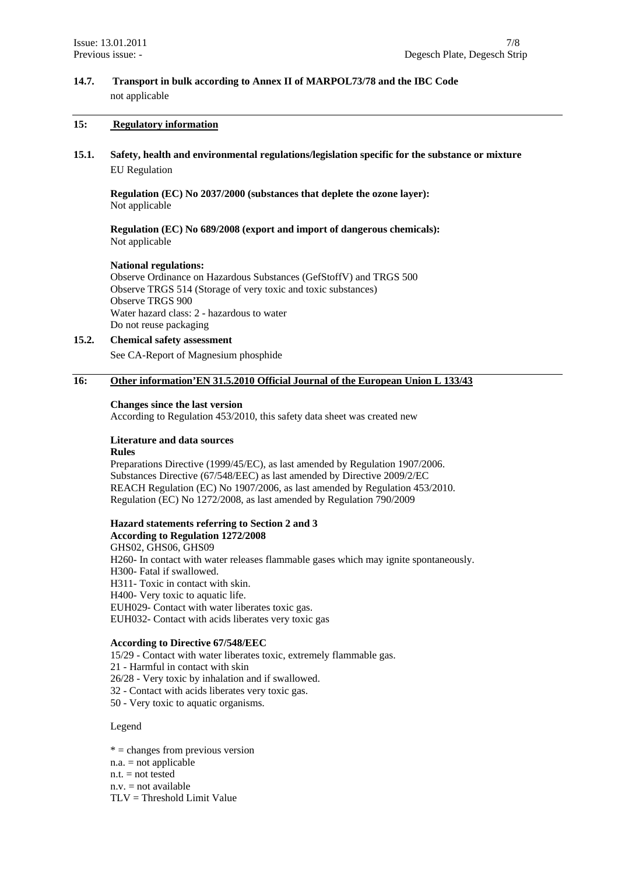# **14.7. Transport in bulk according to Annex II of MARPOL73/78 and the IBC Code**  not applicable

#### **15: Regulatory information**

**15.1. Safety, health and environmental regulations/legislation specific for the substance or mixture**  EU Regulation

**Regulation (EC) No 2037/2000 (substances that deplete the ozone layer):**  Not applicable

**Regulation (EC) No 689/2008 (export and import of dangerous chemicals):**  Not applicable

#### **National regulations:**

Observe Ordinance on Hazardous Substances (GefStoffV) and TRGS 500 Observe TRGS 514 (Storage of very toxic and toxic substances) Observe TRGS 900 Water hazard class: 2 - hazardous to water Do not reuse packaging

## **15.2. Chemical safety assessment**

See CA-Report of Magnesium phosphide

## **16: Other information'EN 31.5.2010 Official Journal of the European Union L 133/43**

#### **Changes since the last version**

According to Regulation 453/2010, this safety data sheet was created new

## **Literature and data sources**

#### **Rules**

Preparations Directive (1999/45/EC), as last amended by Regulation 1907/2006. Substances Directive (67/548/EEC) as last amended by Directive 2009/2/EC REACH Regulation (EC) No 1907/2006, as last amended by Regulation 453/2010. Regulation (EC) No 1272/2008, as last amended by Regulation 790/2009

## **Hazard statements referring to Section 2 and 3**

**According to Regulation 1272/2008**  GHS02, GHS06, GHS09 H260- In contact with water releases flammable gases which may ignite spontaneously. H300- Fatal if swallowed. H311- Toxic in contact with skin. H400- Very toxic to aquatic life. EUH029- Contact with water liberates toxic gas. EUH032- Contact with acids liberates very toxic gas

#### **According to Directive 67/548/EEC**

15/29 - Contact with water liberates toxic, extremely flammable gas. 21 - Harmful in contact with skin 26/28 - Very toxic by inhalation and if swallowed. 32 - Contact with acids liberates very toxic gas. 50 - Very toxic to aquatic organisms.

Legend

 $* =$  changes from previous version  $n.a. = not applicable$  $n.t.$  = not tested  $n.v.$  = not available TLV = Threshold Limit Value